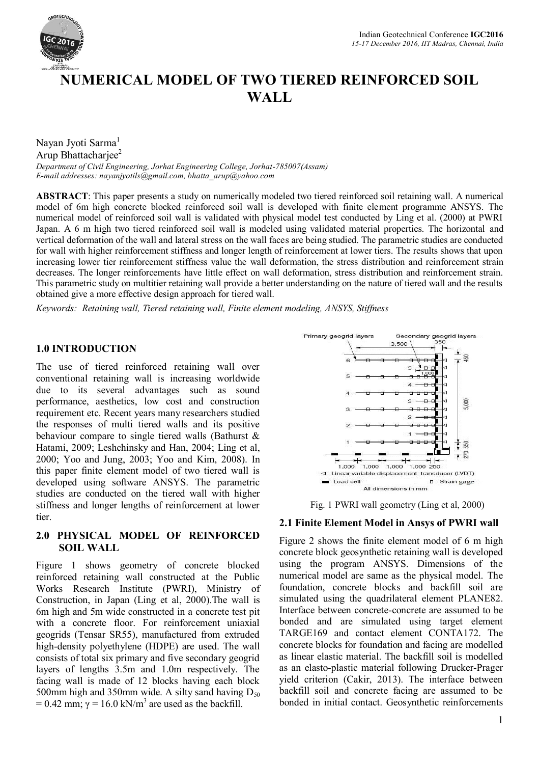

# **NUMERICAL MODEL OF TWO TIERED REINFORCED SOIL WALL**

Nayan Jyoti Sarma<sup>1</sup> Arup Bhattachariee<sup>2</sup>

*Department of Civil Engineering, Jorhat Engineering College, Jorhat-785007(Assam) E-mail addresses: nayanjyotils@gmail.com, bhatta\_arup@yahoo.com*

**ABSTRACT**: This paper presents a study on numerically modeled two tiered reinforced soil retaining wall. A numerical model of 6m high concrete blocked reinforced soil wall is developed with finite element programme ANSYS. The numerical model of reinforced soil wall is validated with physical model test conducted by Ling et al. (2000) at PWRI Japan. A 6 m high two tiered reinforced soil wall is modeled using validated material properties. The horizontal and vertical deformation of the wall and lateral stress on the wall faces are being studied. The parametric studies are conducted for wall with higher reinforcement stiffness and longer length of reinforcement at lower tiers. The results shows that upon increasing lower tier reinforcement stiffness value the wall deformation, the stress distribution and reinforcement strain decreases. The longer reinforcements have little effect on wall deformation, stress distribution and reinforcement strain. This parametric study on multitier retaining wall provide a better understanding on the nature of tiered wall and the results obtained give a more effective design approach for tiered wall.

*Keywords: Retaining wall, Tiered retaining wall, Finite element modeling, ANSYS, Stiffness*

## **1.0 INTRODUCTION**

The use of tiered reinforced retaining wall over conventional retaining wall is increasing worldwide due to its several advantages such as sound performance, aesthetics, low cost and construction requirement etc. Recent years many researchers studied the responses of multi tiered walls and its positive behaviour compare to single tiered walls (Bathurst & Hatami, 2009; Leshchinsky and Han, 2004; Ling et al, 2000; Yoo and Jung, 2003; Yoo and Kim, 2008). In this paper finite element model of two tiered wall is developed using software ANSYS. The parametric studies are conducted on the tiered wall with higher stiffness and longer lengths of reinforcement at lower tier.

## **2.0 PHYSICAL MODEL OF REINFORCED SOIL WALL**

Figure 1 shows geometry of concrete blocked reinforced retaining wall constructed at the Public Works Research Institute (PWRI), Ministry of Construction, in Japan (Ling et al, 2000).The wall is 6m high and 5m wide constructed in a concrete test pit with a concrete floor. For reinforcement uniaxial geogrids (Tensar SR55), manufactured from extruded high-density polyethylene (HDPE) are used. The wall consists of total six primary and five secondary geogrid layers of lengths 3.5m and 1.0m respectively. The facing wall is made of 12 blocks having each block 500mm high and 350mm wide. A silty sand having  $D_{50}$ = 0.42 mm;  $\gamma$  = 16.0 kN/m<sup>3</sup> are used as the backfill.



Fig. 1 PWRI wall geometry (Ling et al, 2000)

#### **2.1 Finite Element Model in Ansys of PWRI wall**

Figure 2 shows the finite element model of 6 m high concrete block geosynthetic retaining wall is developed using the program ANSYS. Dimensions of the numerical model are same as the physical model. The foundation, concrete blocks and backfill soil are simulated using the quadrilateral element PLANE82. Interface between concrete-concrete are assumed to be bonded and are simulated using target element TARGE169 and contact element CONTA172. The concrete blocks for foundation and facing are modelled as linear elastic material. The backfill soil is modelled as an elasto-plastic material following Drucker-Prager yield criterion (Cakir, 2013). The interface between backfill soil and concrete facing are assumed to be bonded in initial contact. Geosynthetic reinforcements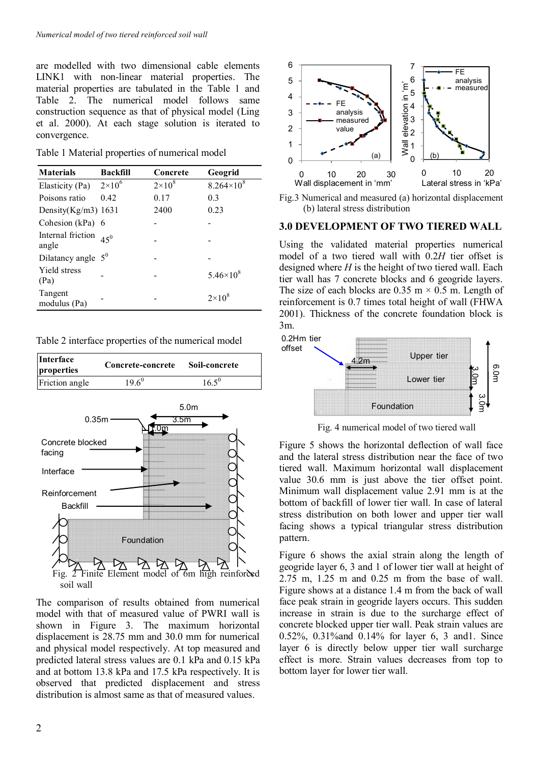are modelled with two dimensional cable elements LINK1 with non-linear material properties. The material properties are tabulated in the Table 1 and Table 2. The numerical model follows same construction sequence as that of physical model (Ling et al. 2000). At each stage solution is iterated to convergence.

Table 1 Material properties of numerical model

| <b>Materials</b>           | <b>Backfill</b> | Concrete      | Geogrid             |
|----------------------------|-----------------|---------------|---------------------|
| Elasticity (Pa)            | $2\times10^6$   | $2\times10^8$ | $8.264\times10^{8}$ |
| Poisons ratio              | 0.42            | 0.17          | 0.3                 |
| Density $(Kg/m3)$ 1631     |                 | 2400          | 0.23                |
| Cohesion (kPa) $6$         |                 |               |                     |
| Internal friction<br>angle | $45^{0}$        |               |                     |
| Dilatancy angle $5^0$      |                 |               |                     |
| Yield stress<br>(Pa)       |                 |               | $5.46 \times 10^8$  |
| Tangent<br>modulus (Pa)    |                 |               | $2\times10^8$       |

Table 2 interface properties of the numerical model



The comparison of results obtained from numerical model with that of measured value of PWRI wall is shown in Figure 3. The maximum horizontal displacement is 28.75 mm and 30.0 mm for numerical and physical model respectively. At top measured and predicted lateral stress values are 0.1 kPa and 0.15 kPa and at bottom 13.8 kPa and 17.5 kPa respectively. It is observed that predicted displacement and stress distribution is almost same as that of measured values.



Fig.3 Numerical and measured (a) horizontal displacement (b) lateral stress distribution

#### **3.0 DEVELOPMENT OF TWO TIERED WALL**

Using the validated material properties numerical model of a two tiered wall with 0.2*H* tier offset is designed where *H* is the height of two tiered wall. Each tier wall has 7 concrete blocks and 6 geogride layers. The size of each blocks are  $0.35 \text{ m} \times 0.5 \text{ m}$ . Length of reinforcement is 0.7 times total height of wall (FHWA 2001). Thickness of the concrete foundation block is 3m.



Fig. 4 numerical model of two tiered wall

Figure 5 shows the horizontal deflection of wall face and the lateral stress distribution near the face of two tiered wall. Maximum horizontal wall displacement value 30.6 mm is just above the tier offset point. Minimum wall displacement value 2.91 mm is at the bottom of backfill of lower tier wall. In case of lateral stress distribution on both lower and upper tier wall facing shows a typical triangular stress distribution pattern.

Figure 6 shows the axial strain along the length of geogride layer 6, 3 and 1 of lower tier wall at height of 2.75 m, 1.25 m and 0.25 m from the base of wall. Figure shows at a distance 1.4 m from the back of wall face peak strain in geogride layers occurs. This sudden increase in strain is due to the surcharge effect of concrete blocked upper tier wall. Peak strain values are 0.52%, 0.31%and 0.14% for layer 6, 3 and1. Since layer 6 is directly below upper tier wall surcharge effect is more. Strain values decreases from top to bottom layer for lower tier wall.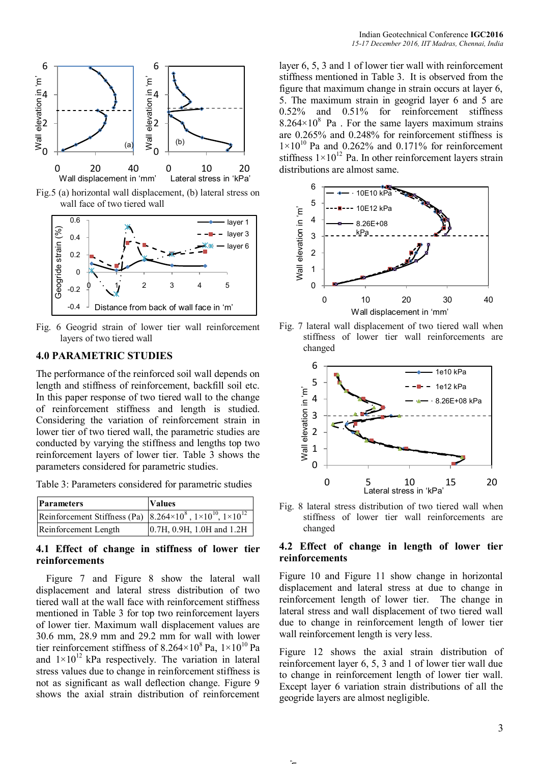

Fig.5 (a) horizontal wall displacement, (b) lateral stress on wall face of two tiered wall



Fig. 6 Geogrid strain of lower tier wall reinforcement layers of two tiered wall

## **4.0 PARAMETRIC STUDIES**

The performance of the reinforced soil wall depends on length and stiffness of reinforcement, backfill soil etc. In this paper response of two tiered wall to the change of reinforcement stiffness and length is studied. Considering the variation of reinforcement strain in lower tier of two tiered wall, the parametric studies are conducted by varying the stiffness and lengths top two reinforcement layers of lower tier. Table 3 shows the parameters considered for parametric studies.

Table 3: Parameters considered for parametric studies

| <b>Parameters</b>                                                                                   | <b>Values</b>             |  |
|-----------------------------------------------------------------------------------------------------|---------------------------|--|
| Reinforcement Stiffness (Pa) $\left  8.264 \times 10^8, 1 \times 10^{10}, 1 \times 10^{12} \right $ |                           |  |
| Reinforcement Length                                                                                | 0.7H, 0.9H, 1.0H and 1.2H |  |

#### **4.1 Effect of change in stiffness of lower tier reinforcements**

 Figure 7 and Figure 8 show the lateral wall displacement and lateral stress distribution of two tiered wall at the wall face with reinforcement stiffness mentioned in Table 3 for top two reinforcement layers of lower tier. Maximum wall displacement values are 30.6 mm, 28.9 mm and 29.2 mm for wall with lower tier reinforcement stiffness of  $8.264 \times 10^8$  Pa,  $1 \times 10^{10}$  Pa and  $1\times10^{12}$  kPa respectively. The variation in lateral stress values due to change in reinforcement stiffness is not as significant as wall deflection change. Figure 9 shows the axial strain distribution of reinforcement

layer 6, 5, 3 and 1 of lower tier wall with reinforcement stiffness mentioned in Table 3. It is observed from the figure that maximum change in strain occurs at layer 6, 5. The maximum strain in geogrid layer 6 and 5 are 0.52% and 0.51% for reinforcement stiffness  $8.264 \times 10^8$  Pa . For the same layers maximum strains are 0.265% and 0.248% for reinforcement stiffness is  $1\times10^{10}$  Pa and 0.262% and 0.171% for reinforcement stiffness  $1 \times 10^{12}$  Pa. In other reinforcement layers strain distributions are almost same.



Fig. 7 lateral wall displacement of two tiered wall when stiffness of lower tier wall reinforcements are changed



Fig. 8 lateral stress distribution of two tiered wall when stiffness of lower tier wall reinforcements are changed

## **4.2 Effect of change in length of lower tier reinforcements**

Figure 10 and Figure 11 show change in horizontal displacement and lateral stress at due to change in reinforcement length of lower tier. The change in lateral stress and wall displacement of two tiered wall due to change in reinforcement length of lower tier wall reinforcement length is very less.

Figure 12 shows the axial strain distribution of reinforcement layer 6, 5, 3 and 1 of lower tier wall due to change in reinforcement length of lower tier wall. Except layer 6 variation strain distributions of all the geogride layers are almost negligible.

 $\sim$